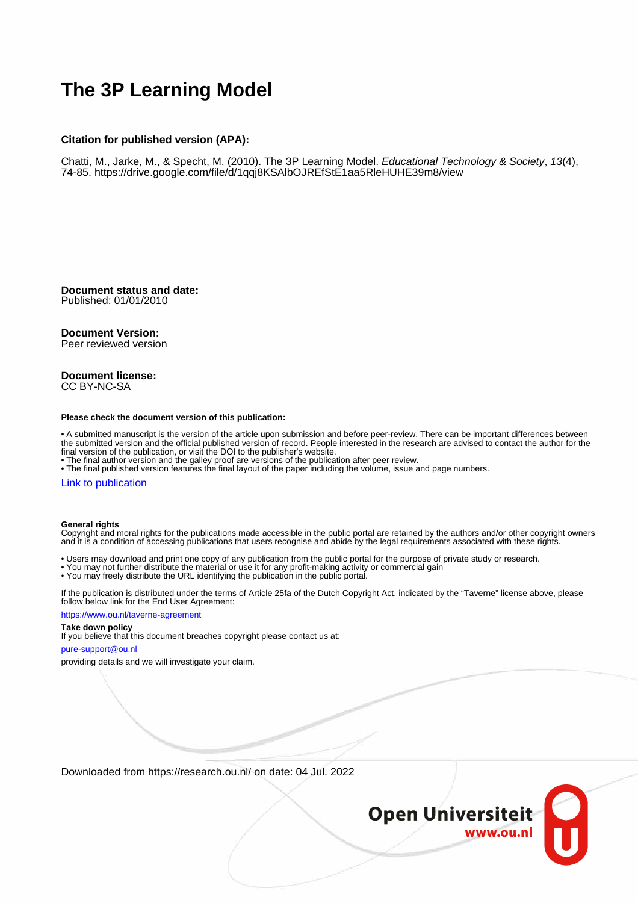# **The 3P Learning Model**

#### **Citation for published version (APA):**

Chatti, M., Jarke, M., & Specht, M. (2010). The 3P Learning Model. Educational Technology & Society, 13(4), 74-85.<https://drive.google.com/file/d/1qqj8KSAlbOJREfStE1aa5RleHUHE39m8/view>

**Document status and date:** Published: 01/01/2010

#### **Document Version:**

Peer reviewed version

#### **Document license:** CC BY-NC-SA

#### **Please check the document version of this publication:**

• A submitted manuscript is the version of the article upon submission and before peer-review. There can be important differences between the submitted version and the official published version of record. People interested in the research are advised to contact the author for the final version of the publication, or visit the DOI to the publisher's website.

• The final author version and the galley proof are versions of the publication after peer review.

• The final published version features the final layout of the paper including the volume, issue and page numbers.

#### [Link to publication](https://research.ou.nl/en/publications/fffedf59-3455-4982-b80d-a131aaa03c79)

#### **General rights**

Copyright and moral rights for the publications made accessible in the public portal are retained by the authors and/or other copyright owners and it is a condition of accessing publications that users recognise and abide by the legal requirements associated with these rights.

- Users may download and print one copy of any publication from the public portal for the purpose of private study or research.
- You may not further distribute the material or use it for any profit-making activity or commercial gain
- You may freely distribute the URL identifying the publication in the public portal.

If the publication is distributed under the terms of Article 25fa of the Dutch Copyright Act, indicated by the "Taverne" license above, please follow below link for the End User Agreement:

#### https://www.ou.nl/taverne-agreement

## **Take down policy**

If you believe that this document breaches copyright please contact us at:

#### pure-support@ou.nl

providing details and we will investigate your claim.

Downloaded from https://research.ou.nl/ on date: 04 Jul. 2022

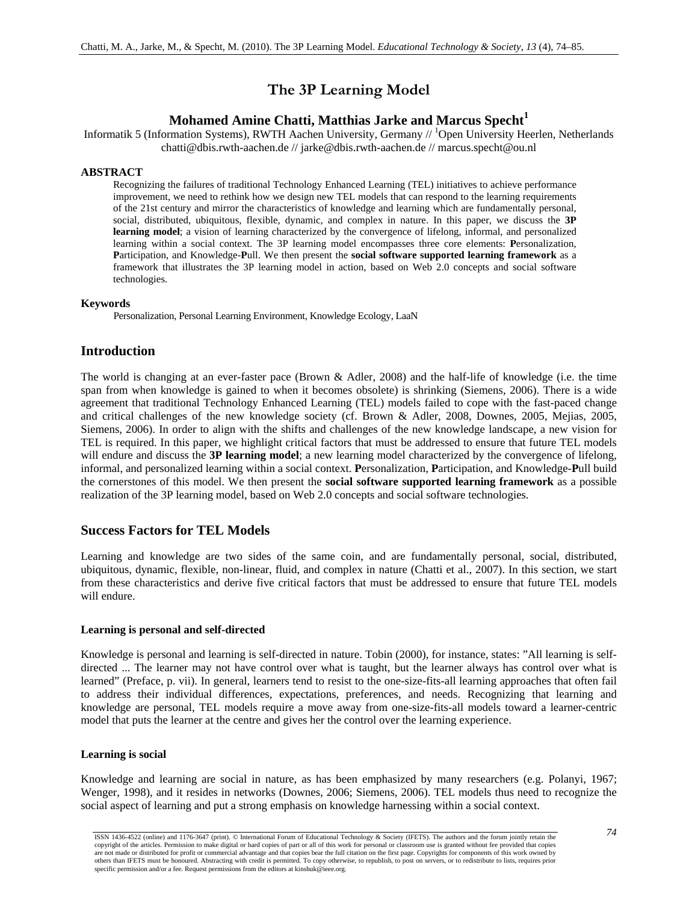# **The 3P Learning Model**

# **Mohamed Amine Chatti, Matthias Jarke and Marcus Specht<sup>1</sup>**

Informatik 5 (Information Systems), RWTH Aachen University, Germany // <sup>1</sup>Open University Heerlen, Netherlands chatti@dbis.rwth-aachen.de // jarke@dbis.rwth-aachen.de // marcus.specht@ou.nl

#### **ABSTRACT**

Recognizing the failures of traditional Technology Enhanced Learning (TEL) initiatives to achieve performance improvement, we need to rethink how we design new TEL models that can respond to the learning requirements of the 21st century and mirror the characteristics of knowledge and learning which are fundamentally personal, social, distributed, ubiquitous, flexible, dynamic, and complex in nature. In this paper, we discuss the **3P learning model**; a vision of learning characterized by the convergence of lifelong, informal, and personalized learning within a social context. The 3P learning model encompasses three core elements: **P**ersonalization, **P**articipation, and Knowledge-**P**ull. We then present the **social software supported learning framework** as a framework that illustrates the 3P learning model in action, based on Web 2.0 concepts and social software technologies.

#### **Keywords**

Personalization, Personal Learning Environment, Knowledge Ecology, LaaN

# **Introduction**

The world is changing at an ever-faster pace (Brown & Adler, 2008) and the half-life of knowledge (i.e. the time span from when knowledge is gained to when it becomes obsolete) is shrinking (Siemens, 2006). There is a wide agreement that traditional Technology Enhanced Learning (TEL) models failed to cope with the fast-paced change and critical challenges of the new knowledge society (cf. Brown & Adler, 2008, Downes, 2005, Mejias, 2005, Siemens, 2006). In order to align with the shifts and challenges of the new knowledge landscape, a new vision for TEL is required. In this paper, we highlight critical factors that must be addressed to ensure that future TEL models will endure and discuss the **3P learning model**; a new learning model characterized by the convergence of lifelong, informal, and personalized learning within a social context. **P**ersonalization, **P**articipation, and Knowledge-**P**ull build the cornerstones of this model. We then present the **social software supported learning framework** as a possible realization of the 3P learning model, based on Web 2.0 concepts and social software technologies.

# **Success Factors for TEL Models**

Learning and knowledge are two sides of the same coin, and are fundamentally personal, social, distributed, ubiquitous, dynamic, flexible, non-linear, fluid, and complex in nature (Chatti et al., 2007). In this section, we start from these characteristics and derive five critical factors that must be addressed to ensure that future TEL models will endure.

#### **Learning is personal and self-directed**

Knowledge is personal and learning is self-directed in nature. Tobin (2000), for instance, states: "All learning is selfdirected ... The learner may not have control over what is taught, but the learner always has control over what is learned" (Preface, p. vii). In general, learners tend to resist to the one-size-fits-all learning approaches that often fail to address their individual differences, expectations, preferences, and needs. Recognizing that learning and knowledge are personal, TEL models require a move away from one-size-fits-all models toward a learner-centric model that puts the learner at the centre and gives her the control over the learning experience.

#### **Learning is social**

Knowledge and learning are social in nature, as has been emphasized by many researchers (e.g. Polanyi, 1967; Wenger, 1998), and it resides in networks (Downes, 2006; Siemens, 2006). TEL models thus need to recognize the social aspect of learning and put a strong emphasis on knowledge harnessing within a social context.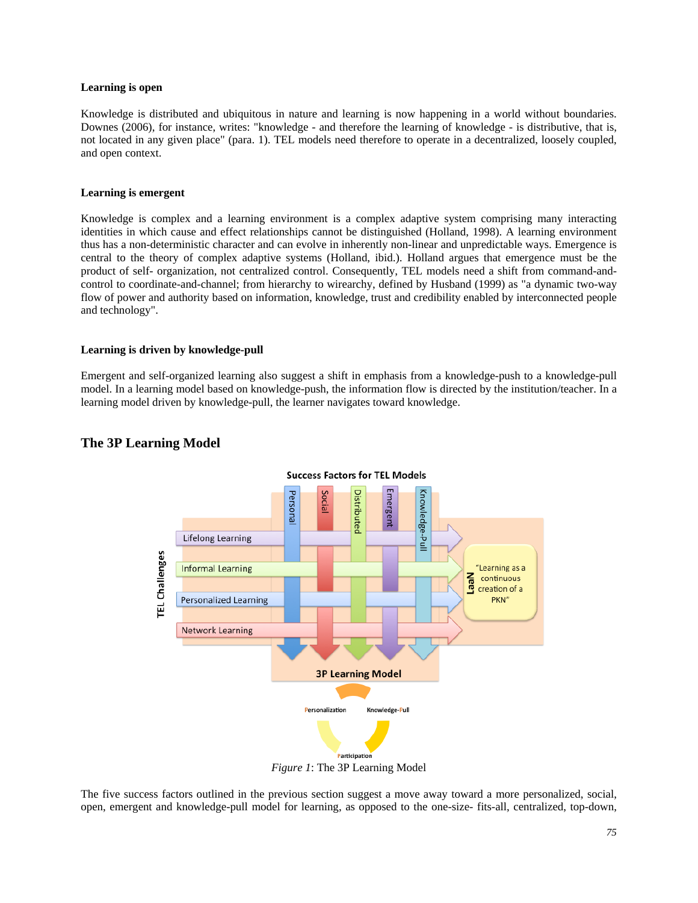#### **Learning is open**

Knowledge is distributed and ubiquitous in nature and learning is now happening in a world without boundaries. Downes (2006), for instance, writes: "knowledge - and therefore the learning of knowledge - is distributive, that is, not located in any given place" (para. 1). TEL models need therefore to operate in a decentralized, loosely coupled, and open context.

#### **Learning is emergent**

Knowledge is complex and a learning environment is a complex adaptive system comprising many interacting identities in which cause and effect relationships cannot be distinguished (Holland, 1998). A learning environment thus has a non-deterministic character and can evolve in inherently non-linear and unpredictable ways. Emergence is central to the theory of complex adaptive systems (Holland, ibid.). Holland argues that emergence must be the product of self- organization, not centralized control. Consequently, TEL models need a shift from command-andcontrol to coordinate-and-channel; from hierarchy to wirearchy, defined by Husband (1999) as "a dynamic two-way flow of power and authority based on information, knowledge, trust and credibility enabled by interconnected people and technology".

#### **Learning is driven by knowledge-pull**

Emergent and self-organized learning also suggest a shift in emphasis from a knowledge-push to a knowledge-pull model. In a learning model based on knowledge-push, the information flow is directed by the institution/teacher. In a learning model driven by knowledge-pull, the learner navigates toward knowledge.



## **The 3P Learning Model**

*Figure 1*: The 3P Learning Model

The five success factors outlined in the previous section suggest a move away toward a more personalized, social, open, emergent and knowledge-pull model for learning, as opposed to the one-size- fits-all, centralized, top-down,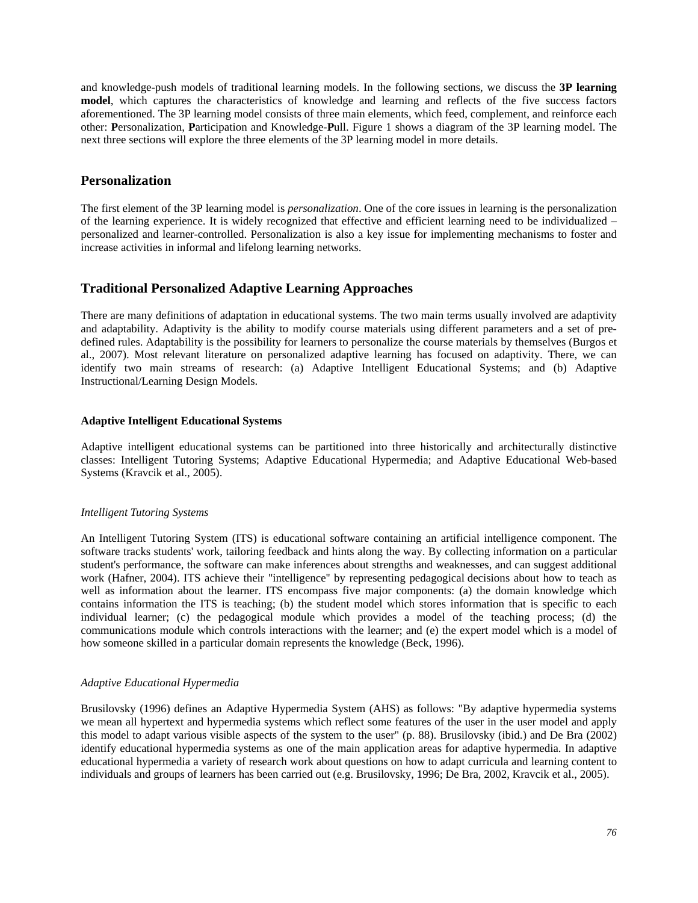and knowledge-push models of traditional learning models. In the following sections, we discuss the **3P learning model**, which captures the characteristics of knowledge and learning and reflects of the five success factors aforementioned. The 3P learning model consists of three main elements, which feed, complement, and reinforce each other: **P**ersonalization, **P**articipation and Knowledge-**P**ull. Figure 1 shows a diagram of the 3P learning model. The next three sections will explore the three elements of the 3P learning model in more details.

# **Personalization**

The first element of the 3P learning model is *personalization*. One of the core issues in learning is the personalization of the learning experience. It is widely recognized that effective and efficient learning need to be individualized – personalized and learner-controlled. Personalization is also a key issue for implementing mechanisms to foster and increase activities in informal and lifelong learning networks.

# **Traditional Personalized Adaptive Learning Approaches**

There are many definitions of adaptation in educational systems. The two main terms usually involved are adaptivity and adaptability. Adaptivity is the ability to modify course materials using different parameters and a set of predefined rules. Adaptability is the possibility for learners to personalize the course materials by themselves (Burgos et al., 2007). Most relevant literature on personalized adaptive learning has focused on adaptivity. There, we can identify two main streams of research: (a) Adaptive Intelligent Educational Systems; and (b) Adaptive Instructional/Learning Design Models.

## **Adaptive Intelligent Educational Systems**

Adaptive intelligent educational systems can be partitioned into three historically and architecturally distinctive classes: Intelligent Tutoring Systems; Adaptive Educational Hypermedia; and Adaptive Educational Web-based Systems (Kravcik et al., 2005).

## *Intelligent Tutoring Systems*

An Intelligent Tutoring System (ITS) is educational software containing an artificial intelligence component. The software tracks students' work, tailoring feedback and hints along the way. By collecting information on a particular student's performance, the software can make inferences about strengths and weaknesses, and can suggest additional work (Hafner, 2004). ITS achieve their "intelligence'' by representing pedagogical decisions about how to teach as well as information about the learner. ITS encompass five major components: (a) the domain knowledge which contains information the ITS is teaching; (b) the student model which stores information that is specific to each individual learner; (c) the pedagogical module which provides a model of the teaching process; (d) the communications module which controls interactions with the learner; and (e) the expert model which is a model of how someone skilled in a particular domain represents the knowledge (Beck, 1996).

## *Adaptive Educational Hypermedia*

Brusilovsky (1996) defines an Adaptive Hypermedia System (AHS) as follows: "By adaptive hypermedia systems we mean all hypertext and hypermedia systems which reflect some features of the user in the user model and apply this model to adapt various visible aspects of the system to the user" (p. 88). Brusilovsky (ibid.) and De Bra (2002) identify educational hypermedia systems as one of the main application areas for adaptive hypermedia. In adaptive educational hypermedia a variety of research work about questions on how to adapt curricula and learning content to individuals and groups of learners has been carried out (e.g. Brusilovsky, 1996; De Bra, 2002, Kravcik et al., 2005).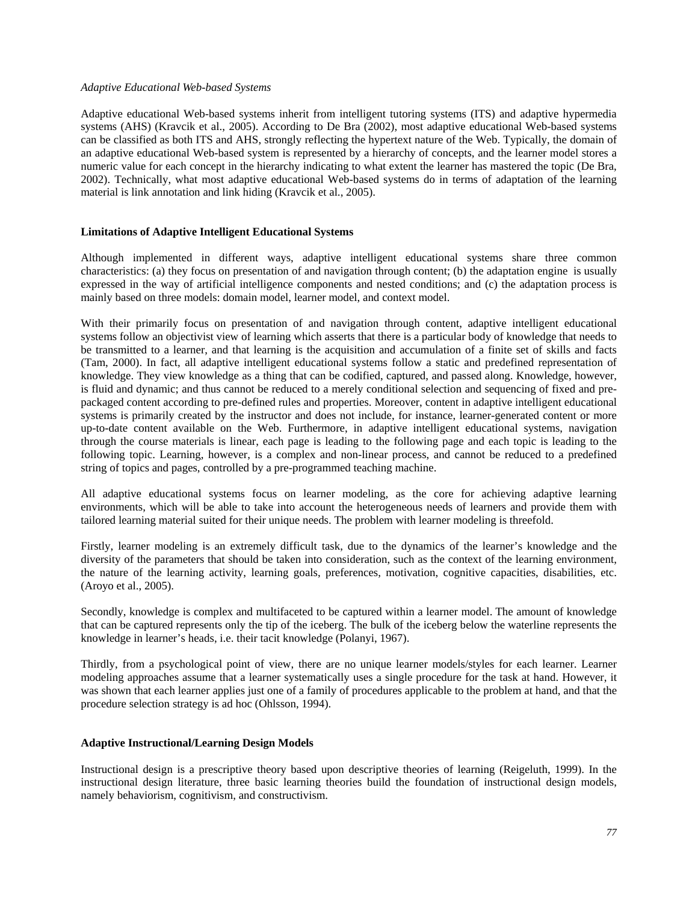#### *Adaptive Educational Web-based Systems*

Adaptive educational Web-based systems inherit from intelligent tutoring systems (ITS) and adaptive hypermedia systems (AHS) (Kravcik et al., 2005). According to De Bra (2002), most adaptive educational Web-based systems can be classified as both ITS and AHS, strongly reflecting the hypertext nature of the Web. Typically, the domain of an adaptive educational Web-based system is represented by a hierarchy of concepts, and the learner model stores a numeric value for each concept in the hierarchy indicating to what extent the learner has mastered the topic (De Bra, 2002). Technically, what most adaptive educational Web-based systems do in terms of adaptation of the learning material is link annotation and link hiding (Kravcik et al., 2005).

#### **Limitations of Adaptive Intelligent Educational Systems**

Although implemented in different ways, adaptive intelligent educational systems share three common characteristics: (a) they focus on presentation of and navigation through content; (b) the adaptation engine is usually expressed in the way of artificial intelligence components and nested conditions; and (c) the adaptation process is mainly based on three models: domain model, learner model, and context model.

With their primarily focus on presentation of and navigation through content, adaptive intelligent educational systems follow an objectivist view of learning which asserts that there is a particular body of knowledge that needs to be transmitted to a learner, and that learning is the acquisition and accumulation of a finite set of skills and facts (Tam, 2000). In fact, all adaptive intelligent educational systems follow a static and predefined representation of knowledge. They view knowledge as a thing that can be codified, captured, and passed along. Knowledge, however, is fluid and dynamic; and thus cannot be reduced to a merely conditional selection and sequencing of fixed and prepackaged content according to pre-defined rules and properties. Moreover, content in adaptive intelligent educational systems is primarily created by the instructor and does not include, for instance, learner-generated content or more up-to-date content available on the Web. Furthermore, in adaptive intelligent educational systems, navigation through the course materials is linear, each page is leading to the following page and each topic is leading to the following topic. Learning, however, is a complex and non-linear process, and cannot be reduced to a predefined string of topics and pages, controlled by a pre-programmed teaching machine.

All adaptive educational systems focus on learner modeling, as the core for achieving adaptive learning environments, which will be able to take into account the heterogeneous needs of learners and provide them with tailored learning material suited for their unique needs. The problem with learner modeling is threefold.

Firstly, learner modeling is an extremely difficult task, due to the dynamics of the learner's knowledge and the diversity of the parameters that should be taken into consideration, such as the context of the learning environment, the nature of the learning activity, learning goals, preferences, motivation, cognitive capacities, disabilities, etc. (Aroyo et al., 2005).

Secondly, knowledge is complex and multifaceted to be captured within a learner model. The amount of knowledge that can be captured represents only the tip of the iceberg. The bulk of the iceberg below the waterline represents the knowledge in learner's heads, i.e. their tacit knowledge (Polanyi, 1967).

Thirdly, from a psychological point of view, there are no unique learner models/styles for each learner. Learner modeling approaches assume that a learner systematically uses a single procedure for the task at hand. However, it was shown that each learner applies just one of a family of procedures applicable to the problem at hand, and that the procedure selection strategy is ad hoc (Ohlsson, 1994).

#### **Adaptive Instructional/Learning Design Models**

Instructional design is a prescriptive theory based upon descriptive theories of learning (Reigeluth, 1999). In the instructional design literature, three basic learning theories build the foundation of instructional design models, namely behaviorism, cognitivism, and constructivism.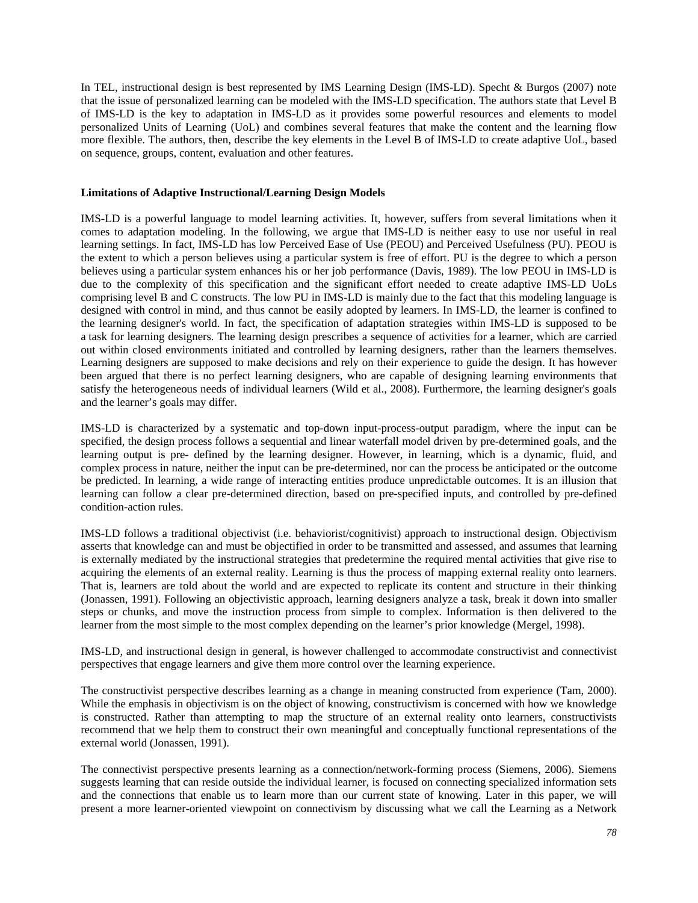In TEL, instructional design is best represented by IMS Learning Design (IMS-LD). Specht & Burgos (2007) note that the issue of personalized learning can be modeled with the IMS-LD specification. The authors state that Level B of IMS-LD is the key to adaptation in IMS-LD as it provides some powerful resources and elements to model personalized Units of Learning (UoL) and combines several features that make the content and the learning flow more flexible. The authors, then, describe the key elements in the Level B of IMS-LD to create adaptive UoL, based on sequence, groups, content, evaluation and other features.

#### **Limitations of Adaptive Instructional/Learning Design Models**

IMS-LD is a powerful language to model learning activities. It, however, suffers from several limitations when it comes to adaptation modeling. In the following, we argue that IMS-LD is neither easy to use nor useful in real learning settings. In fact, IMS-LD has low Perceived Ease of Use (PEOU) and Perceived Usefulness (PU). PEOU is the extent to which a person believes using a particular system is free of effort. PU is the degree to which a person believes using a particular system enhances his or her job performance (Davis, 1989). The low PEOU in IMS-LD is due to the complexity of this specification and the significant effort needed to create adaptive IMS-LD UoLs comprising level B and C constructs. The low PU in IMS-LD is mainly due to the fact that this modeling language is designed with control in mind, and thus cannot be easily adopted by learners. In IMS-LD, the learner is confined to the learning designer's world. In fact, the specification of adaptation strategies within IMS-LD is supposed to be a task for learning designers. The learning design prescribes a sequence of activities for a learner, which are carried out within closed environments initiated and controlled by learning designers, rather than the learners themselves. Learning designers are supposed to make decisions and rely on their experience to guide the design. It has however been argued that there is no perfect learning designers, who are capable of designing learning environments that satisfy the heterogeneous needs of individual learners (Wild et al., 2008). Furthermore, the learning designer's goals and the learner's goals may differ.

IMS-LD is characterized by a systematic and top-down input-process-output paradigm, where the input can be specified, the design process follows a sequential and linear waterfall model driven by pre-determined goals, and the learning output is pre- defined by the learning designer. However, in learning, which is a dynamic, fluid, and complex process in nature, neither the input can be pre-determined, nor can the process be anticipated or the outcome be predicted. In learning, a wide range of interacting entities produce unpredictable outcomes. It is an illusion that learning can follow a clear pre-determined direction, based on pre-specified inputs, and controlled by pre-defined condition-action rules.

IMS-LD follows a traditional objectivist (i.e. behaviorist/cognitivist) approach to instructional design. Objectivism asserts that knowledge can and must be objectified in order to be transmitted and assessed, and assumes that learning is externally mediated by the instructional strategies that predetermine the required mental activities that give rise to acquiring the elements of an external reality. Learning is thus the process of mapping external reality onto learners. That is, learners are told about the world and are expected to replicate its content and structure in their thinking (Jonassen, 1991). Following an objectivistic approach, learning designers analyze a task, break it down into smaller steps or chunks, and move the instruction process from simple to complex. Information is then delivered to the learner from the most simple to the most complex depending on the learner's prior knowledge (Mergel, 1998).

IMS-LD, and instructional design in general, is however challenged to accommodate constructivist and connectivist perspectives that engage learners and give them more control over the learning experience.

The constructivist perspective describes learning as a change in meaning constructed from experience (Tam, 2000). While the emphasis in objectivism is on the object of knowing, constructivism is concerned with how we knowledge is constructed. Rather than attempting to map the structure of an external reality onto learners, constructivists recommend that we help them to construct their own meaningful and conceptually functional representations of the external world (Jonassen, 1991).

The connectivist perspective presents learning as a connection/network-forming process (Siemens, 2006). Siemens suggests learning that can reside outside the individual learner, is focused on connecting specialized information sets and the connections that enable us to learn more than our current state of knowing. Later in this paper, we will present a more learner-oriented viewpoint on connectivism by discussing what we call the Learning as a Network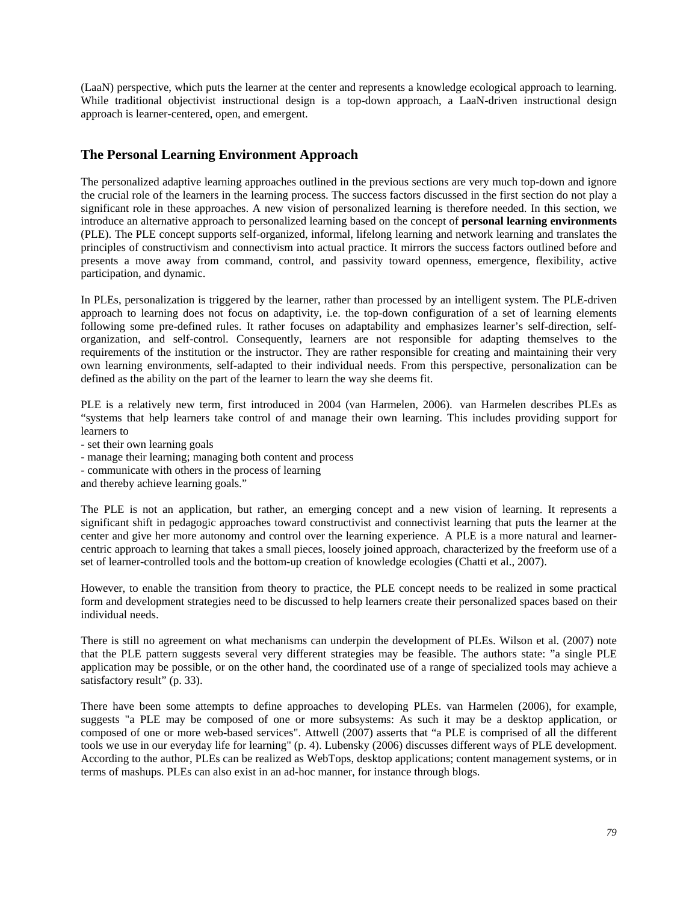(LaaN) perspective, which puts the learner at the center and represents a knowledge ecological approach to learning. While traditional objectivist instructional design is a top-down approach, a LaaN-driven instructional design approach is learner-centered, open, and emergent.

# **The Personal Learning Environment Approach**

The personalized adaptive learning approaches outlined in the previous sections are very much top-down and ignore the crucial role of the learners in the learning process. The success factors discussed in the first section do not play a significant role in these approaches. A new vision of personalized learning is therefore needed. In this section, we introduce an alternative approach to personalized learning based on the concept of **personal learning environments** (PLE). The PLE concept supports self-organized, informal, lifelong learning and network learning and translates the principles of constructivism and connectivism into actual practice. It mirrors the success factors outlined before and presents a move away from command, control, and passivity toward openness, emergence, flexibility, active participation, and dynamic.

In PLEs, personalization is triggered by the learner, rather than processed by an intelligent system. The PLE-driven approach to learning does not focus on adaptivity, i.e. the top-down configuration of a set of learning elements following some pre-defined rules. It rather focuses on adaptability and emphasizes learner's self-direction, selforganization, and self-control. Consequently, learners are not responsible for adapting themselves to the requirements of the institution or the instructor. They are rather responsible for creating and maintaining their very own learning environments, self-adapted to their individual needs. From this perspective, personalization can be defined as the ability on the part of the learner to learn the way she deems fit.

PLE is a relatively new term, first introduced in 2004 (van Harmelen, 2006). van Harmelen describes PLEs as "systems that help learners take control of and manage their own learning. This includes providing support for learners to

- set their own learning goals
- manage their learning; managing both content and process
- communicate with others in the process of learning
- and thereby achieve learning goals."

The PLE is not an application, but rather, an emerging concept and a new vision of learning. It represents a significant shift in pedagogic approaches toward constructivist and connectivist learning that puts the learner at the center and give her more autonomy and control over the learning experience. A PLE is a more natural and learnercentric approach to learning that takes a small pieces, loosely joined approach, characterized by the freeform use of a set of learner-controlled tools and the bottom-up creation of knowledge ecologies (Chatti et al., 2007).

However, to enable the transition from theory to practice, the PLE concept needs to be realized in some practical form and development strategies need to be discussed to help learners create their personalized spaces based on their individual needs.

There is still no agreement on what mechanisms can underpin the development of PLEs. Wilson et al. (2007) note that the PLE pattern suggests several very different strategies may be feasible. The authors state: "a single PLE application may be possible, or on the other hand, the coordinated use of a range of specialized tools may achieve a satisfactory result" (p. 33).

There have been some attempts to define approaches to developing PLEs. van Harmelen (2006), for example, suggests "a PLE may be composed of one or more subsystems: As such it may be a desktop application, or composed of one or more web-based services". Attwell (2007) asserts that "a PLE is comprised of all the different tools we use in our everyday life for learning" (p. 4). Lubensky (2006) discusses different ways of PLE development. According to the author, PLEs can be realized as WebTops, desktop applications; content management systems, or in terms of mashups. PLEs can also exist in an ad-hoc manner, for instance through blogs.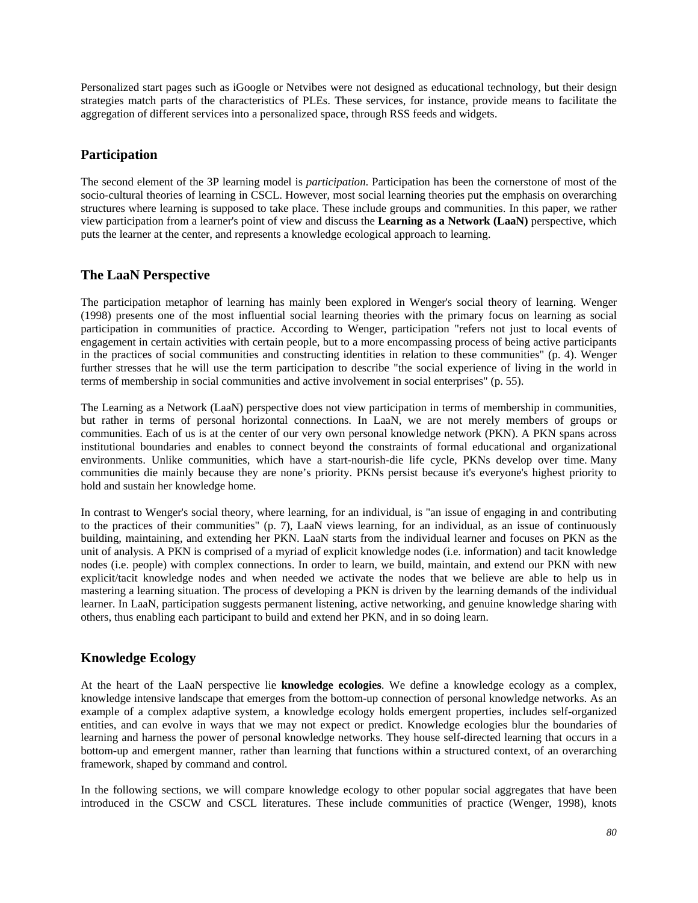Personalized start pages such as iGoogle or Netvibes were not designed as educational technology, but their design strategies match parts of the characteristics of PLEs. These services, for instance, provide means to facilitate the aggregation of different services into a personalized space, through RSS feeds and widgets.

# **Participation**

The second element of the 3P learning model is *participation*. Participation has been the cornerstone of most of the socio-cultural theories of learning in CSCL. However, most social learning theories put the emphasis on overarching structures where learning is supposed to take place. These include groups and communities. In this paper, we rather view participation from a learner's point of view and discuss the **Learning as a Network (LaaN)** perspective, which puts the learner at the center, and represents a knowledge ecological approach to learning.

# **The LaaN Perspective**

The participation metaphor of learning has mainly been explored in Wenger's social theory of learning. Wenger (1998) presents one of the most influential social learning theories with the primary focus on learning as social participation in communities of practice. According to Wenger, participation "refers not just to local events of engagement in certain activities with certain people, but to a more encompassing process of being active participants in the practices of social communities and constructing identities in relation to these communities" (p. 4). Wenger further stresses that he will use the term participation to describe "the social experience of living in the world in terms of membership in social communities and active involvement in social enterprises" (p. 55).

The Learning as a Network (LaaN) perspective does not view participation in terms of membership in communities, but rather in terms of personal horizontal connections. In LaaN, we are not merely members of groups or communities. Each of us is at the center of our very own personal knowledge network (PKN). A PKN spans across institutional boundaries and enables to connect beyond the constraints of formal educational and organizational environments. Unlike communities, which have a start-nourish-die life cycle, PKNs develop over time. Many communities die mainly because they are none's priority. PKNs persist because it's everyone's highest priority to hold and sustain her knowledge home.

In contrast to Wenger's social theory, where learning, for an individual, is "an issue of engaging in and contributing to the practices of their communities" (p. 7), LaaN views learning, for an individual, as an issue of continuously building, maintaining, and extending her PKN. LaaN starts from the individual learner and focuses on PKN as the unit of analysis. A PKN is comprised of a myriad of explicit knowledge nodes (i.e. information) and tacit knowledge nodes (i.e. people) with complex connections. In order to learn, we build, maintain, and extend our PKN with new explicit/tacit knowledge nodes and when needed we activate the nodes that we believe are able to help us in mastering a learning situation. The process of developing a PKN is driven by the learning demands of the individual learner. In LaaN, participation suggests permanent listening, active networking, and genuine knowledge sharing with others, thus enabling each participant to build and extend her PKN, and in so doing learn.

# **Knowledge Ecology**

At the heart of the LaaN perspective lie **knowledge ecologies**. We define a knowledge ecology as a complex, knowledge intensive landscape that emerges from the bottom-up connection of personal knowledge networks. As an example of a complex adaptive system, a knowledge ecology holds emergent properties, includes self-organized entities, and can evolve in ways that we may not expect or predict. Knowledge ecologies blur the boundaries of learning and harness the power of personal knowledge networks. They house self-directed learning that occurs in a bottom-up and emergent manner, rather than learning that functions within a structured context, of an overarching framework, shaped by command and control.

In the following sections, we will compare knowledge ecology to other popular social aggregates that have been introduced in the CSCW and CSCL literatures. These include communities of practice (Wenger, 1998), knots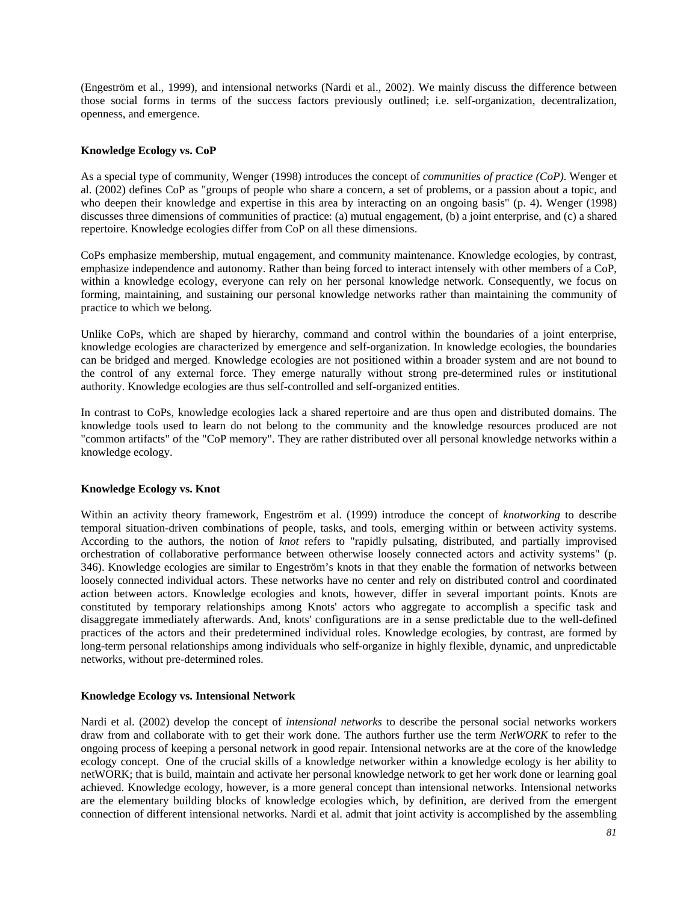(Engeström et al., 1999), and intensional networks (Nardi et al., 2002). We mainly discuss the difference between those social forms in terms of the success factors previously outlined; i.e. self-organization, decentralization, openness, and emergence.

#### **Knowledge Ecology vs. CoP**

As a special type of community, Wenger (1998) introduces the concept of *communities of practice (CoP)*. Wenger et al. (2002) defines CoP as "groups of people who share a concern, a set of problems, or a passion about a topic, and who deepen their knowledge and expertise in this area by interacting on an ongoing basis" (p. 4). Wenger (1998) discusses three dimensions of communities of practice: (a) mutual engagement, (b) a joint enterprise, and (c) a shared repertoire. Knowledge ecologies differ from CoP on all these dimensions.

CoPs emphasize membership, mutual engagement, and community maintenance. Knowledge ecologies, by contrast, emphasize independence and autonomy. Rather than being forced to interact intensely with other members of a CoP, within a knowledge ecology, everyone can rely on her personal knowledge network. Consequently, we focus on forming, maintaining, and sustaining our personal knowledge networks rather than maintaining the community of practice to which we belong.

Unlike CoPs, which are shaped by hierarchy, command and control within the boundaries of a joint enterprise, knowledge ecologies are characterized by emergence and self-organization. In knowledge ecologies, the boundaries can be bridged and merged. Knowledge ecologies are not positioned within a broader system and are not bound to the control of any external force. They emerge naturally without strong pre-determined rules or institutional authority. Knowledge ecologies are thus self-controlled and self-organized entities.

In contrast to CoPs, knowledge ecologies lack a shared repertoire and are thus open and distributed domains. The knowledge tools used to learn do not belong to the community and the knowledge resources produced are not "common artifacts" of the "CoP memory". They are rather distributed over all personal knowledge networks within a knowledge ecology.

#### **Knowledge Ecology vs. Knot**

Within an activity theory framework, Engeström et al. (1999) introduce the concept of *knotworking* to describe temporal situation-driven combinations of people, tasks, and tools, emerging within or between activity systems. According to the authors, the notion of *knot* refers to "rapidly pulsating, distributed, and partially improvised orchestration of collaborative performance between otherwise loosely connected actors and activity systems" (p. 346). Knowledge ecologies are similar to Engeström's knots in that they enable the formation of networks between loosely connected individual actors. These networks have no center and rely on distributed control and coordinated action between actors. Knowledge ecologies and knots, however, differ in several important points. Knots are constituted by temporary relationships among Knots' actors who aggregate to accomplish a specific task and disaggregate immediately afterwards. And, knots' configurations are in a sense predictable due to the well-defined practices of the actors and their predetermined individual roles. Knowledge ecologies, by contrast, are formed by long-term personal relationships among individuals who self-organize in highly flexible, dynamic, and unpredictable networks, without pre-determined roles.

#### **Knowledge Ecology vs. Intensional Network**

Nardi et al. (2002) develop the concept of *intensional networks* to describe the personal social networks workers draw from and collaborate with to get their work done. The authors further use the term *NetWORK* to refer to the ongoing process of keeping a personal network in good repair. Intensional networks are at the core of the knowledge ecology concept. One of the crucial skills of a knowledge networker within a knowledge ecology is her ability to netWORK; that is build, maintain and activate her personal knowledge network to get her work done or learning goal achieved. Knowledge ecology, however, is a more general concept than intensional networks. Intensional networks are the elementary building blocks of knowledge ecologies which, by definition, are derived from the emergent connection of different intensional networks. Nardi et al. admit that joint activity is accomplished by the assembling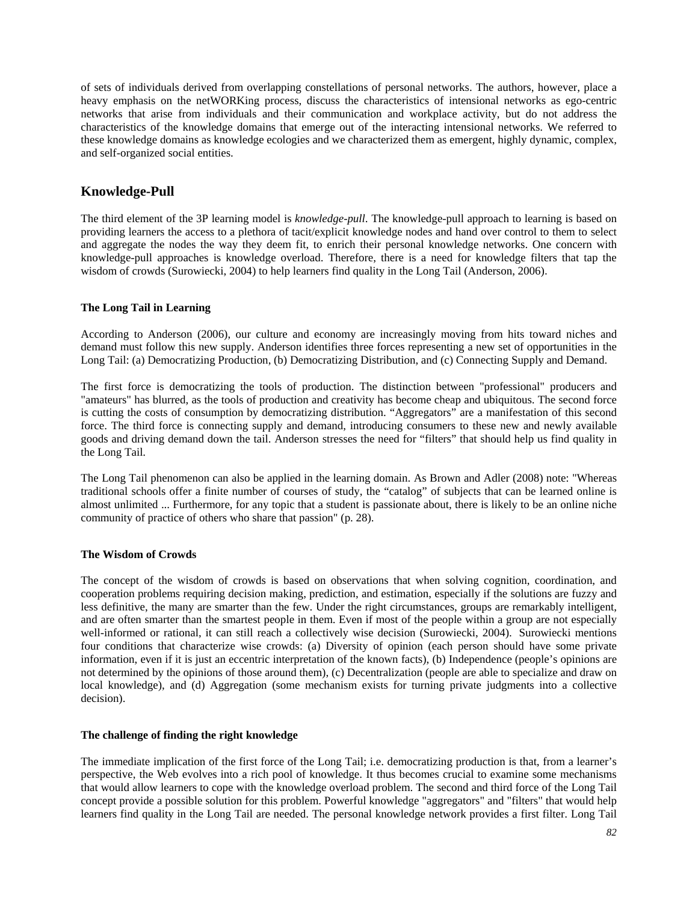of sets of individuals derived from overlapping constellations of personal networks. The authors, however, place a heavy emphasis on the netWORKing process, discuss the characteristics of intensional networks as ego-centric networks that arise from individuals and their communication and workplace activity, but do not address the characteristics of the knowledge domains that emerge out of the interacting intensional networks. We referred to these knowledge domains as knowledge ecologies and we characterized them as emergent, highly dynamic, complex, and self-organized social entities.

# **Knowledge-Pull**

The third element of the 3P learning model is *knowledge-pull*. The knowledge-pull approach to learning is based on providing learners the access to a plethora of tacit/explicit knowledge nodes and hand over control to them to select and aggregate the nodes the way they deem fit, to enrich their personal knowledge networks. One concern with knowledge-pull approaches is knowledge overload. Therefore, there is a need for knowledge filters that tap the wisdom of crowds (Surowiecki, 2004) to help learners find quality in the Long Tail (Anderson, 2006).

## **The Long Tail in Learning**

According to Anderson (2006), our culture and economy are increasingly moving from hits toward niches and demand must follow this new supply. Anderson identifies three forces representing a new set of opportunities in the Long Tail: (a) Democratizing Production, (b) Democratizing Distribution, and (c) Connecting Supply and Demand.

The first force is democratizing the tools of production. The distinction between "professional" producers and "amateurs" has blurred, as the tools of production and creativity has become cheap and ubiquitous. The second force is cutting the costs of consumption by democratizing distribution. "Aggregators" are a manifestation of this second force. The third force is connecting supply and demand, introducing consumers to these new and newly available goods and driving demand down the tail. Anderson stresses the need for "filters" that should help us find quality in the Long Tail.

The Long Tail phenomenon can also be applied in the learning domain. As Brown and Adler (2008) note: "Whereas traditional schools offer a finite number of courses of study, the "catalog" of subjects that can be learned online is almost unlimited ... Furthermore, for any topic that a student is passionate about, there is likely to be an online niche community of practice of others who share that passion" (p. 28).

#### **The Wisdom of Crowds**

The concept of the wisdom of crowds is based on observations that when solving cognition, coordination, and cooperation problems requiring decision making, prediction, and estimation, especially if the solutions are fuzzy and less definitive, the many are smarter than the few. Under the right circumstances, groups are remarkably intelligent, and are often smarter than the smartest people in them. Even if most of the people within a group are not especially well-informed or rational, it can still reach a collectively wise decision (Surowiecki, 2004). Surowiecki mentions four conditions that characterize wise crowds: (a) Diversity of opinion (each person should have some private information, even if it is just an eccentric interpretation of the known facts), (b) Independence (people's opinions are not determined by the opinions of those around them), (c) Decentralization (people are able to specialize and draw on local knowledge), and (d) Aggregation (some mechanism exists for turning private judgments into a collective decision).

#### **The challenge of finding the right knowledge**

The immediate implication of the first force of the Long Tail; i.e. democratizing production is that, from a learner's perspective, the Web evolves into a rich pool of knowledge. It thus becomes crucial to examine some mechanisms that would allow learners to cope with the knowledge overload problem. The second and third force of the Long Tail concept provide a possible solution for this problem. Powerful knowledge "aggregators" and "filters" that would help learners find quality in the Long Tail are needed. The personal knowledge network provides a first filter. Long Tail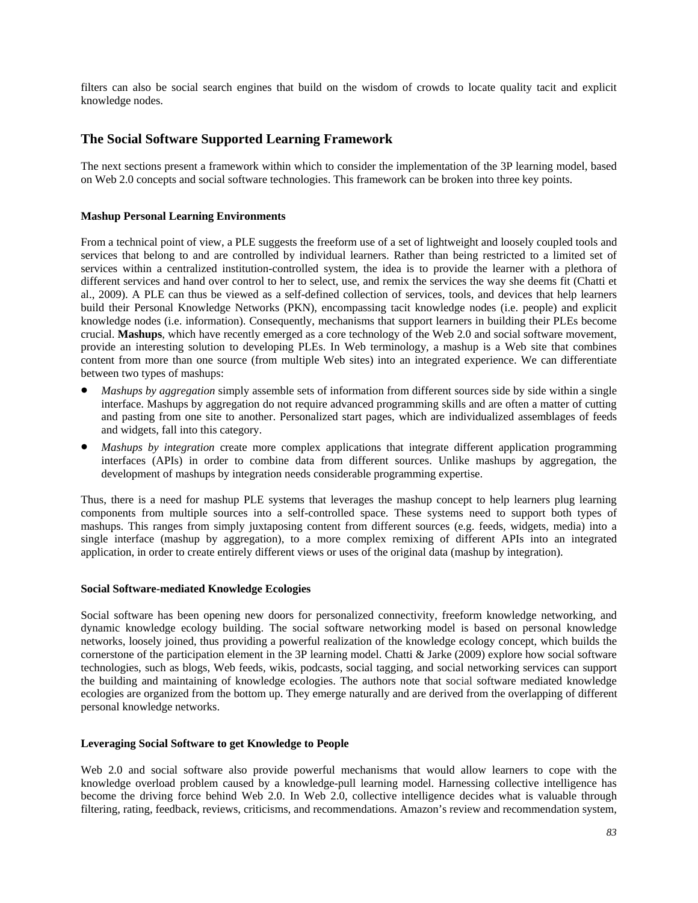filters can also be social search engines that build on the wisdom of crowds to locate quality tacit and explicit knowledge nodes.

# **The Social Software Supported Learning Framework**

The next sections present a framework within which to consider the implementation of the 3P learning model, based on Web 2.0 concepts and social software technologies. This framework can be broken into three key points.

#### **Mashup Personal Learning Environments**

From a technical point of view, a PLE suggests the freeform use of a set of lightweight and loosely coupled tools and services that belong to and are controlled by individual learners. Rather than being restricted to a limited set of services within a centralized institution-controlled system, the idea is to provide the learner with a plethora of different services and hand over control to her to select, use, and remix the services the way she deems fit (Chatti et al., 2009). A PLE can thus be viewed as a self-defined collection of services, tools, and devices that help learners build their Personal Knowledge Networks (PKN), encompassing tacit knowledge nodes (i.e. people) and explicit knowledge nodes (i.e. information). Consequently, mechanisms that support learners in building their PLEs become crucial. **Mashups**, which have recently emerged as a core technology of the Web 2.0 and social software movement, provide an interesting solution to developing PLEs. In Web terminology, a mashup is a Web site that combines content from more than one source (from multiple Web sites) into an integrated experience. We can differentiate between two types of mashups:

- *Mashups by aggregation* simply assemble sets of information from different sources side by side within a single interface. Mashups by aggregation do not require advanced programming skills and are often a matter of cutting and pasting from one site to another. Personalized start pages, which are individualized assemblages of feeds and widgets, fall into this category.
- *Mashups by integration* create more complex applications that integrate different application programming interfaces (APIs) in order to combine data from different sources. Unlike mashups by aggregation, the development of mashups by integration needs considerable programming expertise.

Thus, there is a need for mashup PLE systems that leverages the mashup concept to help learners plug learning components from multiple sources into a self-controlled space. These systems need to support both types of mashups. This ranges from simply juxtaposing content from different sources (e.g. feeds, widgets, media) into a single interface (mashup by aggregation), to a more complex remixing of different APIs into an integrated application, in order to create entirely different views or uses of the original data (mashup by integration).

#### **Social Software-mediated Knowledge Ecologies**

Social software has been opening new doors for personalized connectivity, freeform knowledge networking, and dynamic knowledge ecology building. The social software networking model is based on personal knowledge networks, loosely joined, thus providing a powerful realization of the knowledge ecology concept, which builds the cornerstone of the participation element in the 3P learning model. Chatti & Jarke (2009) explore how social software technologies, such as blogs, Web feeds, wikis, podcasts, social tagging, and social networking services can support the building and maintaining of knowledge ecologies. The authors note that social software mediated knowledge ecologies are organized from the bottom up. They emerge naturally and are derived from the overlapping of different personal knowledge networks.

#### **Leveraging Social Software to get Knowledge to People**

Web 2.0 and social software also provide powerful mechanisms that would allow learners to cope with the knowledge overload problem caused by a knowledge-pull learning model. Harnessing collective intelligence has become the driving force behind Web 2.0. In Web 2.0, collective intelligence decides what is valuable through filtering, rating, feedback, reviews, criticisms, and recommendations. Amazon's review and recommendation system,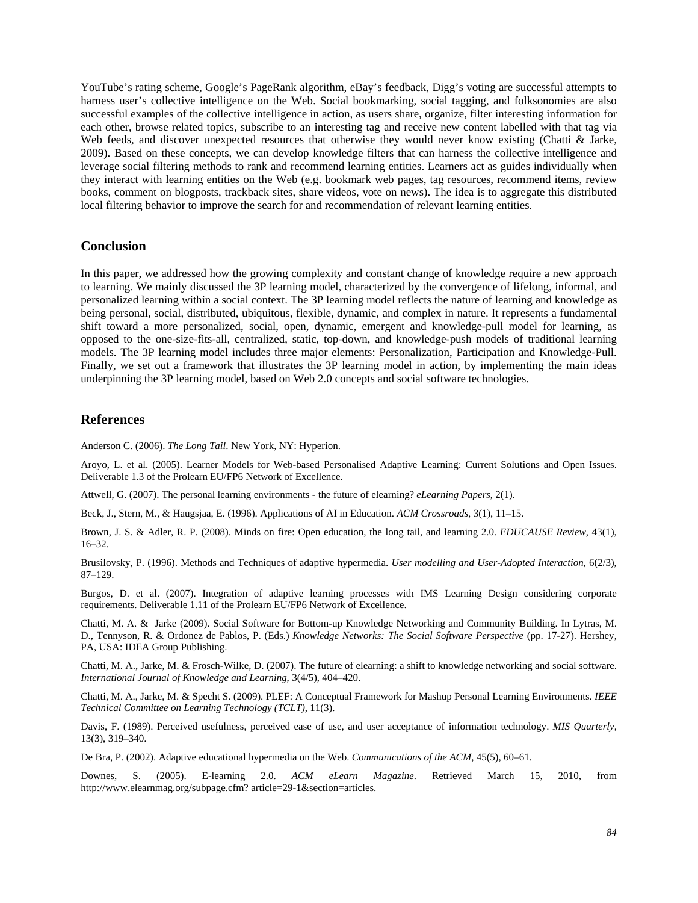YouTube's rating scheme, Google's PageRank algorithm, eBay's feedback, Digg's voting are successful attempts to harness user's collective intelligence on the Web. Social bookmarking, social tagging, and folksonomies are also successful examples of the collective intelligence in action, as users share, organize, filter interesting information for each other, browse related topics, subscribe to an interesting tag and receive new content labelled with that tag via Web feeds, and discover unexpected resources that otherwise they would never know existing (Chatti & Jarke, 2009). Based on these concepts, we can develop knowledge filters that can harness the collective intelligence and leverage social filtering methods to rank and recommend learning entities. Learners act as guides individually when they interact with learning entities on the Web (e.g. bookmark web pages, tag resources, recommend items, review books, comment on blogposts, trackback sites, share videos, vote on news). The idea is to aggregate this distributed local filtering behavior to improve the search for and recommendation of relevant learning entities.

## **Conclusion**

In this paper, we addressed how the growing complexity and constant change of knowledge require a new approach to learning. We mainly discussed the 3P learning model, characterized by the convergence of lifelong, informal, and personalized learning within a social context. The 3P learning model reflects the nature of learning and knowledge as being personal, social, distributed, ubiquitous, flexible, dynamic, and complex in nature. It represents a fundamental shift toward a more personalized, social, open, dynamic, emergent and knowledge-pull model for learning, as opposed to the one-size-fits-all, centralized, static, top-down, and knowledge-push models of traditional learning models. The 3P learning model includes three major elements: Personalization, Participation and Knowledge-Pull. Finally, we set out a framework that illustrates the 3P learning model in action, by implementing the main ideas underpinning the 3P learning model, based on Web 2.0 concepts and social software technologies.

## **References**

Anderson C. (2006). *The Long Tail*. New York, NY: Hyperion.

Aroyo, L. et al. (2005). Learner Models for Web-based Personalised Adaptive Learning: Current Solutions and Open Issues. Deliverable 1.3 of the Prolearn EU/FP6 Network of Excellence.

Attwell, G. (2007). The personal learning environments - the future of elearning? *eLearning Papers*, 2(1).

Beck, J., Stern, M., & Haugsjaa, E. (1996). Applications of AI in Education. *ACM Crossroads*, 3(1), 11–15.

Brown, J. S. & Adler, R. P. (2008). Minds on fire: Open education, the long tail, and learning 2.0. *EDUCAUSE Review*, 43(1), 16–32.

Brusilovsky, P. (1996). Methods and Techniques of adaptive hypermedia. *User modelling and User-Adopted Interaction*, 6(2/3), 87–129.

Burgos, D. et al. (2007). Integration of adaptive learning processes with IMS Learning Design considering corporate requirements. Deliverable 1.11 of the Prolearn EU/FP6 Network of Excellence.

Chatti, M. A. & Jarke (2009). Social Software for Bottom-up Knowledge Networking and Community Building. In Lytras, M. D., Tennyson, R. & Ordonez de Pablos, P. (Eds.) *Knowledge Networks: The Social Software Perspective* (pp. 17-27). Hershey, PA, USA: IDEA Group Publishing.

Chatti, M. A., Jarke, M. & Frosch-Wilke, D. (2007). The future of elearning: a shift to knowledge networking and social software. *International Journal of Knowledge and Learning*, 3(4/5), 404–420.

Chatti, M. A., Jarke, M. & Specht S. (2009). PLEF: A Conceptual Framework for Mashup Personal Learning Environments. *IEEE Technical Committee on Learning Technology (TCLT)*, 11(3).

Davis, F. (1989). Perceived usefulness, perceived ease of use, and user acceptance of information technology. *MIS Quarterly*, 13(3), 319–340.

De Bra, P. (2002). Adaptive educational hypermedia on the Web. *Communications of the ACM*, 45(5), 60–61.

Downes, S. (2005). E-learning 2.0. *ACM eLearn Magazine*. Retrieved March 15, 2010, from http://www.elearnmag.org/subpage.cfm? article=29-1&section=articles.